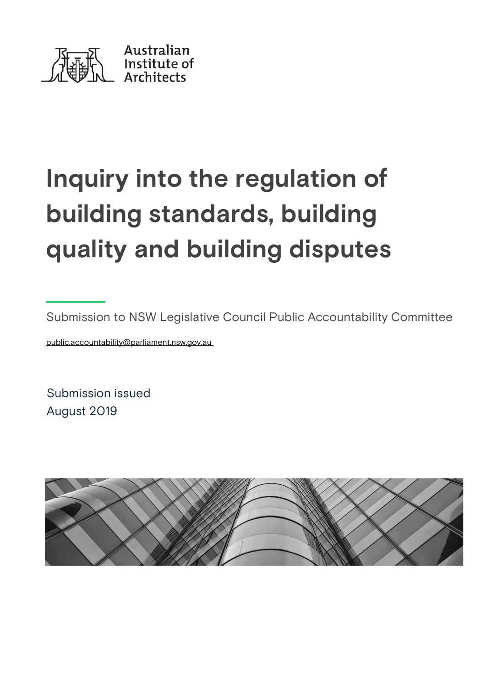

# Inquiry into the regulation of building standards, building quality and building disputes

Submission to NSW Legislative Council Public Accountability Committee

public.accountability@parliament.nsw.gov.au

Submission issued August 2019

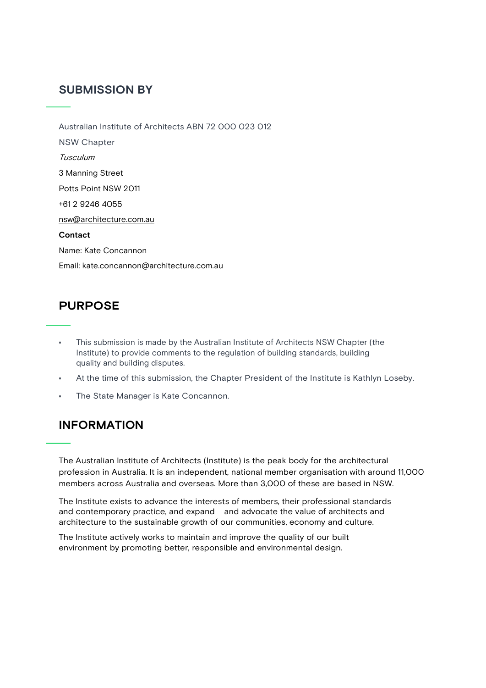# SUBMISSION BY

Australian Institute of Architects ABN 72 000 023 012 NSW Chapter Tusculum 3 Manning Street Potts Point NSW 2011 +61 2 9246 4055 nsw@architecture.com.au Contact Name: Kate Concannon Email: kate.concannon@architecture.com.au

# **PURPOSE**

- This submission is made by the Australian Institute of Architects NSW Chapter (the Institute) to provide comments to the regulation of building standards, building quality and building disputes.
- At the time of this submission, the Chapter President of the Institute is Kathlyn Loseby.
- The State Manager is Kate Concannon.

# INFORMATION

The Australian Institute of Architects (Institute) is the peak body for the architectural profession in Australia. It is an independent, national member organisation with around 11,000 members across Australia and overseas. More than 3,000 of these are based in NSW.

The Institute exists to advance the interests of members, their professional standards and contemporary practice, and expand and advocate the value of architects and architecture to the sustainable growth of our communities, economy and culture.

The Institute actively works to maintain and improve the quality of our built environment by promoting better, responsible and environmental design.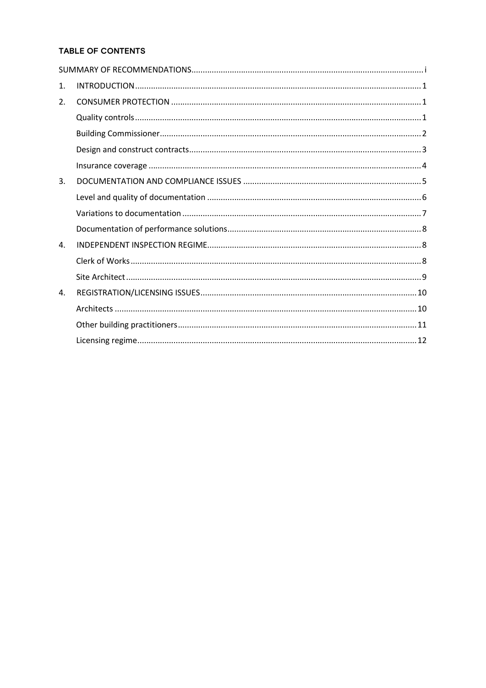# TABLE OF CONTENTS

| 1. |  |
|----|--|
| 2. |  |
|    |  |
|    |  |
|    |  |
|    |  |
| 3. |  |
|    |  |
|    |  |
|    |  |
| 4. |  |
|    |  |
|    |  |
| 4. |  |
|    |  |
|    |  |
|    |  |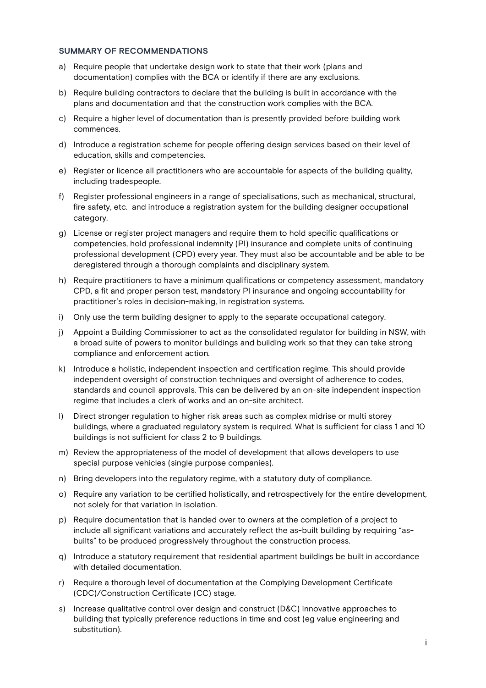#### SUMMARY OF RECOMMENDATIONS

- a) Require people that undertake design work to state that their work (plans and documentation) complies with the BCA or identify if there are any exclusions.
- b) Require building contractors to declare that the building is built in accordance with the plans and documentation and that the construction work complies with the BCA.
- c) Require a higher level of documentation than is presently provided before building work commences.
- d) Introduce a registration scheme for people offering design services based on their level of education, skills and competencies.
- e) Register or licence all practitioners who are accountable for aspects of the building quality, including tradespeople.
- f) Register professional engineers in a range of specialisations, such as mechanical, structural, fire safety, etc. and introduce a registration system for the building designer occupational category.
- g) License or register project managers and require them to hold specific qualifications or competencies, hold professional indemnity (PI) insurance and complete units of continuing professional development (CPD) every year. They must also be accountable and be able to be deregistered through a thorough complaints and disciplinary system.
- h) Require practitioners to have a minimum qualifications or competency assessment, mandatory CPD, a fit and proper person test, mandatory PI insurance and ongoing accountability for practitioner's roles in decision-making, in registration systems.
- i) Only use the term building designer to apply to the separate occupational category.
- j) Appoint a Building Commissioner to act as the consolidated regulator for building in NSW, with a broad suite of powers to monitor buildings and building work so that they can take strong compliance and enforcement action.
- k) Introduce a holistic, independent inspection and certification regime. This should provide independent oversight of construction techniques and oversight of adherence to codes, standards and council approvals. This can be delivered by an on-site independent inspection regime that includes a clerk of works and an on-site architect.
- l) Direct stronger regulation to higher risk areas such as complex midrise or multi storey buildings, where a graduated regulatory system is required. What is sufficient for class 1 and 10 buildings is not sufficient for class 2 to 9 buildings.
- m) Review the appropriateness of the model of development that allows developers to use special purpose vehicles (single purpose companies).
- n) Bring developers into the regulatory regime, with a statutory duty of compliance.
- o) Require any variation to be certified holistically, and retrospectively for the entire development, not solely for that variation in isolation.
- p) Require documentation that is handed over to owners at the completion of a project to include all significant variations and accurately reflect the as-built building by requiring "asbuilts" to be produced progressively throughout the construction process.
- q) Introduce a statutory requirement that residential apartment buildings be built in accordance with detailed documentation.
- r) Require a thorough level of documentation at the Complying Development Certificate (CDC)/Construction Certificate (CC) stage.
- s) Increase qualitative control over design and construct (D&C) innovative approaches to building that typically preference reductions in time and cost (eg value engineering and substitution).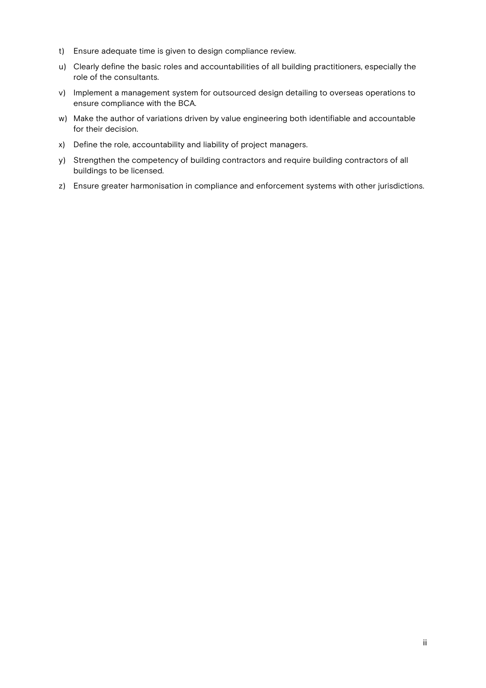- t) Ensure adequate time is given to design compliance review.
- u) Clearly define the basic roles and accountabilities of all building practitioners, especially the role of the consultants.
- v) Implement a management system for outsourced design detailing to overseas operations to ensure compliance with the BCA.
- w) Make the author of variations driven by value engineering both identifiable and accountable for their decision.
- x) Define the role, accountability and liability of project managers.
- y) Strengthen the competency of building contractors and require building contractors of all buildings to be licensed.
- z) Ensure greater harmonisation in compliance and enforcement systems with other jurisdictions.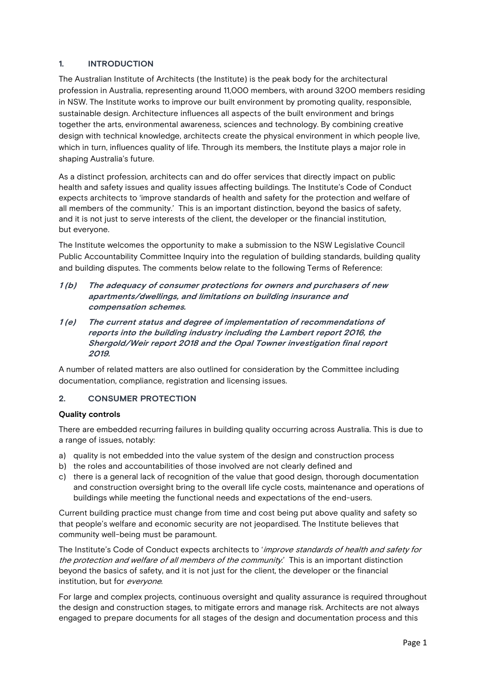# 1. INTRODUCTION

The Australian Institute of Architects (the Institute) is the peak body for the architectural profession in Australia, representing around 11,000 members, with around 3200 members residing in NSW. The Institute works to improve our built environment by promoting quality, responsible, sustainable design. Architecture influences all aspects of the built environment and brings together the arts, environmental awareness, sciences and technology. By combining creative design with technical knowledge, architects create the physical environment in which people live, which in turn, influences quality of life. Through its members, the Institute plays a major role in shaping Australia's future.

As a distinct profession, architects can and do offer services that directly impact on public health and safety issues and quality issues affecting buildings. The Institute's Code of Conduct expects architects to 'improve standards of health and safety for the protection and welfare of all members of the community.' This is an important distinction, beyond the basics of safety, and it is not just to serve interests of the client, the developer or the financial institution, but everyone.

The Institute welcomes the opportunity to make a submission to the NSW Legislative Council Public Accountability Committee Inquiry into the regulation of building standards, building quality and building disputes. The comments below relate to the following Terms of Reference:

- 1 (b) The adequacy of consumer protections for owners and purchasers of new apartments/dwellings, and limitations on building insurance and compensation schemes.
- 1 (e) The current status and degree of implementation of recommendations of reports into the building industry including the Lambert report 2016, the Shergold/Weir report 2018 and the Opal Towner investigation final report 2019.

A number of related matters are also outlined for consideration by the Committee including documentation, compliance, registration and licensing issues.

# 2. CONSUMER PROTECTION

## Quality controls

There are embedded recurring failures in building quality occurring across Australia. This is due to a range of issues, notably:

- a) quality is not embedded into the value system of the design and construction process
- b) the roles and accountabilities of those involved are not clearly defined and
- c) there is a general lack of recognition of the value that good design, thorough documentation and construction oversight bring to the overall life cycle costs, maintenance and operations of buildings while meeting the functional needs and expectations of the end-users.

Current building practice must change from time and cost being put above quality and safety so that people's welfare and economic security are not jeopardised. The Institute believes that community well-being must be paramount.

The Institute's Code of Conduct expects architects to 'improve standards of health and safety for the protection and welfare of all members of the community.' This is an important distinction beyond the basics of safety, and it is not just for the client, the developer or the financial institution, but for everyone.

For large and complex projects, continuous oversight and quality assurance is required throughout the design and construction stages, to mitigate errors and manage risk. Architects are not always engaged to prepare documents for all stages of the design and documentation process and this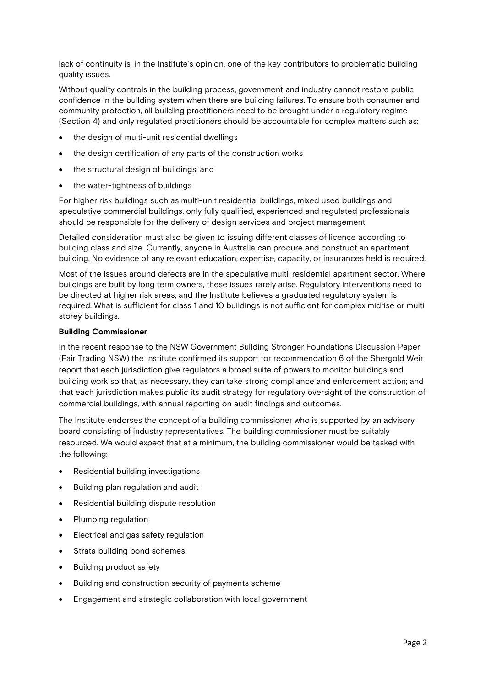lack of continuity is, in the Institute's opinion, one of the key contributors to problematic building quality issues.

Without quality controls in the building process, government and industry cannot restore public confidence in the building system when there are building failures. To ensure both consumer and community protection, all building practitioners need to be brought under a regulatory regime (Section 4) and only regulated practitioners should be accountable for complex matters such as:

- the design of multi-unit residential dwellings
- the design certification of any parts of the construction works
- the structural design of buildings, and
- the water-tightness of buildings

For higher risk buildings such as multi-unit residential buildings, mixed used buildings and speculative commercial buildings, only fully qualified, experienced and regulated professionals should be responsible for the delivery of design services and project management.

Detailed consideration must also be given to issuing different classes of licence according to building class and size. Currently, anyone in Australia can procure and construct an apartment building. No evidence of any relevant education, expertise, capacity, or insurances held is required.

Most of the issues around defects are in the speculative multi-residential apartment sector. Where buildings are built by long term owners, these issues rarely arise. Regulatory interventions need to be directed at higher risk areas, and the Institute believes a graduated regulatory system is required. What is sufficient for class 1 and 10 buildings is not sufficient for complex midrise or multi storey buildings.

## Building Commissioner

In the recent response to the NSW Government Building Stronger Foundations Discussion Paper (Fair Trading NSW) the Institute confirmed its support for recommendation 6 of the Shergold Weir report that each jurisdiction give regulators a broad suite of powers to monitor buildings and building work so that, as necessary, they can take strong compliance and enforcement action; and that each jurisdiction makes public its audit strategy for regulatory oversight of the construction of commercial buildings, with annual reporting on audit findings and outcomes.

The Institute endorses the concept of a building commissioner who is supported by an advisory board consisting of industry representatives. The building commissioner must be suitably resourced. We would expect that at a minimum, the building commissioner would be tasked with the following:

- Residential building investigations
- Building plan regulation and audit
- Residential building dispute resolution
- Plumbing regulation
- Electrical and gas safety regulation
- Strata building bond schemes
- Building product safety
- Building and construction security of payments scheme
- Engagement and strategic collaboration with local government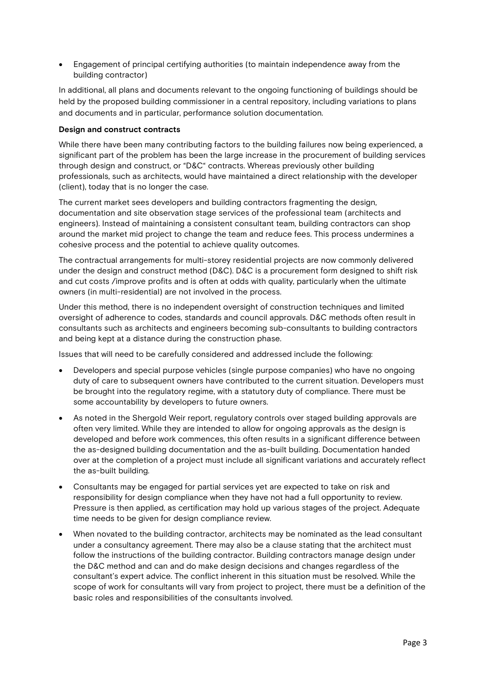Engagement of principal certifying authorities (to maintain independence away from the building contractor)

In additional, all plans and documents relevant to the ongoing functioning of buildings should be held by the proposed building commissioner in a central repository, including variations to plans and documents and in particular, performance solution documentation.

#### Design and construct contracts

While there have been many contributing factors to the building failures now being experienced, a significant part of the problem has been the large increase in the procurement of building services through design and construct, or "D&C" contracts. Whereas previously other building professionals, such as architects, would have maintained a direct relationship with the developer (client), today that is no longer the case.

The current market sees developers and building contractors fragmenting the design, documentation and site observation stage services of the professional team (architects and engineers). Instead of maintaining a consistent consultant team, building contractors can shop around the market mid project to change the team and reduce fees. This process undermines a cohesive process and the potential to achieve quality outcomes.

The contractual arrangements for multi-storey residential projects are now commonly delivered under the design and construct method (D&C). D&C is a procurement form designed to shift risk and cut costs /improve profits and is often at odds with quality, particularly when the ultimate owners (in multi-residential) are not involved in the process.

Under this method, there is no independent oversight of construction techniques and limited oversight of adherence to codes, standards and council approvals. D&C methods often result in consultants such as architects and engineers becoming sub-consultants to building contractors and being kept at a distance during the construction phase.

Issues that will need to be carefully considered and addressed include the following:

- Developers and special purpose vehicles (single purpose companies) who have no ongoing duty of care to subsequent owners have contributed to the current situation. Developers must be brought into the regulatory regime, with a statutory duty of compliance. There must be some accountability by developers to future owners.
- As noted in the Shergold Weir report, regulatory controls over staged building approvals are often very limited. While they are intended to allow for ongoing approvals as the design is developed and before work commences, this often results in a significant difference between the as-designed building documentation and the as-built building. Documentation handed over at the completion of a project must include all significant variations and accurately reflect the as-built building.
- Consultants may be engaged for partial services yet are expected to take on risk and responsibility for design compliance when they have not had a full opportunity to review. Pressure is then applied, as certification may hold up various stages of the project. Adequate time needs to be given for design compliance review.
- When novated to the building contractor, architects may be nominated as the lead consultant under a consultancy agreement. There may also be a clause stating that the architect must follow the instructions of the building contractor. Building contractors manage design under the D&C method and can and do make design decisions and changes regardless of the consultant's expert advice. The conflict inherent in this situation must be resolved. While the scope of work for consultants will vary from project to project, there must be a definition of the basic roles and responsibilities of the consultants involved.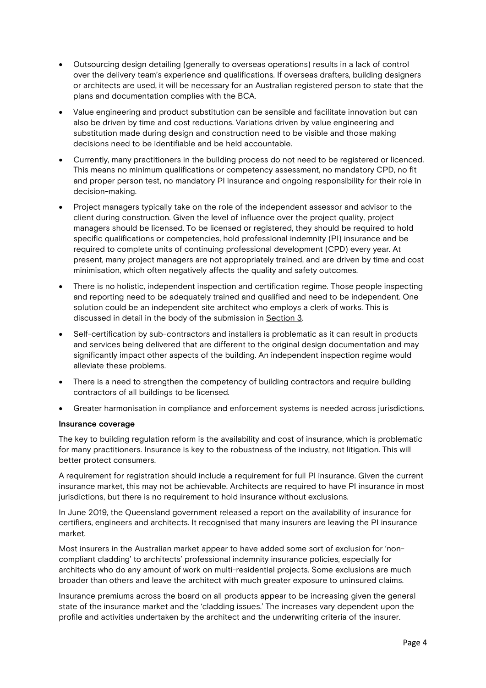- Outsourcing design detailing (generally to overseas operations) results in a lack of control over the delivery team's experience and qualifications. If overseas drafters, building designers or architects are used, it will be necessary for an Australian registered person to state that the plans and documentation complies with the BCA.
- Value engineering and product substitution can be sensible and facilitate innovation but can also be driven by time and cost reductions. Variations driven by value engineering and substitution made during design and construction need to be visible and those making decisions need to be identifiable and be held accountable.
- Currently, many practitioners in the building process do not need to be registered or licenced. This means no minimum qualifications or competency assessment, no mandatory CPD, no fit and proper person test, no mandatory PI insurance and ongoing responsibility for their role in decision-making.
- Project managers typically take on the role of the independent assessor and advisor to the client during construction. Given the level of influence over the project quality, project managers should be licensed. To be licensed or registered, they should be required to hold specific qualifications or competencies, hold professional indemnity (PI) insurance and be required to complete units of continuing professional development (CPD) every year. At present, many project managers are not appropriately trained, and are driven by time and cost minimisation, which often negatively affects the quality and safety outcomes.
- There is no holistic, independent inspection and certification regime. Those people inspecting and reporting need to be adequately trained and qualified and need to be independent. One solution could be an independent site architect who employs a clerk of works. This is discussed in detail in the body of the submission in Section 3.
- Self-certification by sub-contractors and installers is problematic as it can result in products and services being delivered that are different to the original design documentation and may significantly impact other aspects of the building. An independent inspection regime would alleviate these problems.
- There is a need to strengthen the competency of building contractors and require building contractors of all buildings to be licensed.
- Greater harmonisation in compliance and enforcement systems is needed across jurisdictions.

## Insurance coverage

The key to building regulation reform is the availability and cost of insurance, which is problematic for many practitioners. Insurance is key to the robustness of the industry, not litigation. This will better protect consumers.

A requirement for registration should include a requirement for full PI insurance. Given the current insurance market, this may not be achievable. Architects are required to have PI insurance in most jurisdictions, but there is no requirement to hold insurance without exclusions.

In June 2019, the Queensland government released a report on the availability of insurance for certifiers, engineers and architects. It recognised that many insurers are leaving the PI insurance market.

Most insurers in the Australian market appear to have added some sort of exclusion for 'noncompliant cladding' to architects' professional indemnity insurance policies, especially for architects who do any amount of work on multi-residential projects. Some exclusions are much broader than others and leave the architect with much greater exposure to uninsured claims.

Insurance premiums across the board on all products appear to be increasing given the general state of the insurance market and the 'cladding issues.' The increases vary dependent upon the profile and activities undertaken by the architect and the underwriting criteria of the insurer.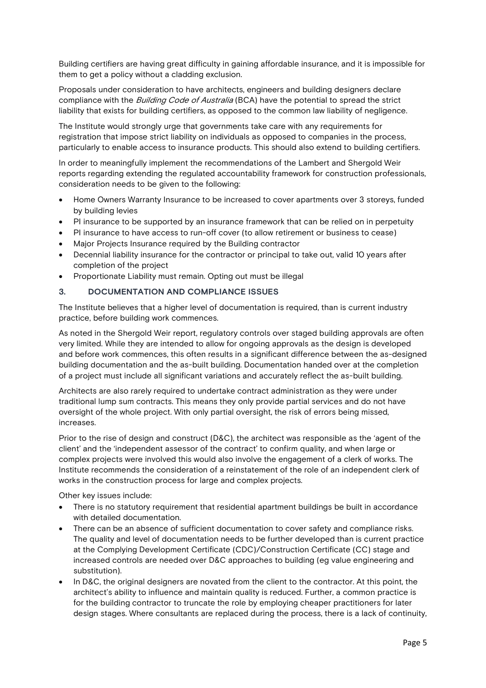Building certifiers are having great difficulty in gaining affordable insurance, and it is impossible for them to get a policy without a cladding exclusion.

Proposals under consideration to have architects, engineers and building designers declare compliance with the Building Code of Australia (BCA) have the potential to spread the strict liability that exists for building certifiers, as opposed to the common law liability of negligence.

The Institute would strongly urge that governments take care with any requirements for registration that impose strict liability on individuals as opposed to companies in the process, particularly to enable access to insurance products. This should also extend to building certifiers.

In order to meaningfully implement the recommendations of the Lambert and Shergold Weir reports regarding extending the regulated accountability framework for construction professionals, consideration needs to be given to the following:

- Home Owners Warranty Insurance to be increased to cover apartments over 3 storeys, funded by building levies
- PI insurance to be supported by an insurance framework that can be relied on in perpetuity
- PI insurance to have access to run-off cover (to allow retirement or business to cease)
- Major Projects Insurance required by the Building contractor
- Decennial liability insurance for the contractor or principal to take out, valid 10 years after completion of the project
- Proportionate Liability must remain. Opting out must be illegal

## 3. DOCUMENTATION AND COMPLIANCE ISSUES

The Institute believes that a higher level of documentation is required, than is current industry practice, before building work commences.

As noted in the Shergold Weir report, regulatory controls over staged building approvals are often very limited. While they are intended to allow for ongoing approvals as the design is developed and before work commences, this often results in a significant difference between the as-designed building documentation and the as-built building. Documentation handed over at the completion of a project must include all significant variations and accurately reflect the as-built building.

Architects are also rarely required to undertake contract administration as they were under traditional lump sum contracts. This means they only provide partial services and do not have oversight of the whole project. With only partial oversight, the risk of errors being missed, increases.

Prior to the rise of design and construct (D&C), the architect was responsible as the 'agent of the client' and the 'independent assessor of the contract' to confirm quality, and when large or complex projects were involved this would also involve the engagement of a clerk of works. The Institute recommends the consideration of a reinstatement of the role of an independent clerk of works in the construction process for large and complex projects.

Other key issues include:

- There is no statutory requirement that residential apartment buildings be built in accordance with detailed documentation.
- There can be an absence of sufficient documentation to cover safety and compliance risks. The quality and level of documentation needs to be further developed than is current practice at the Complying Development Certificate (CDC)/Construction Certificate (CC) stage and increased controls are needed over D&C approaches to building (eg value engineering and substitution).
- In D&C, the original designers are novated from the client to the contractor. At this point, the architect's ability to influence and maintain quality is reduced. Further, a common practice is for the building contractor to truncate the role by employing cheaper practitioners for later design stages. Where consultants are replaced during the process, there is a lack of continuity,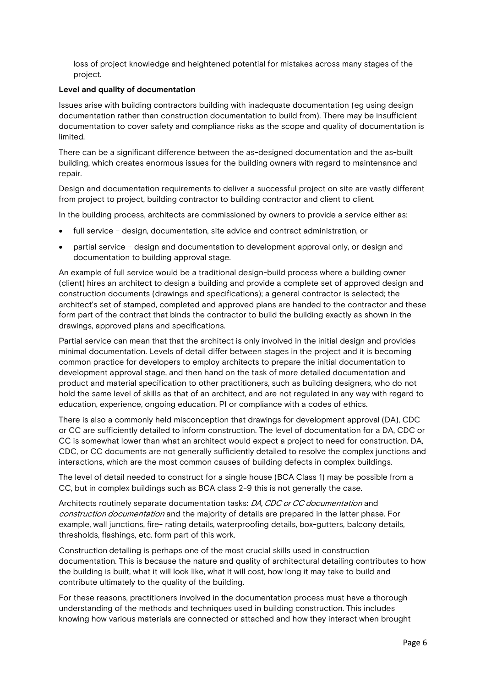loss of project knowledge and heightened potential for mistakes across many stages of the project.

#### Level and quality of documentation

Issues arise with building contractors building with inadequate documentation (eg using design documentation rather than construction documentation to build from). There may be insufficient documentation to cover safety and compliance risks as the scope and quality of documentation is limited.

There can be a significant difference between the as-designed documentation and the as-built building, which creates enormous issues for the building owners with regard to maintenance and repair.

Design and documentation requirements to deliver a successful project on site are vastly different from project to project, building contractor to building contractor and client to client.

In the building process, architects are commissioned by owners to provide a service either as:

- full service design, documentation, site advice and contract administration, or
- partial service design and documentation to development approval only, or design and documentation to building approval stage.

An example of full service would be a traditional design-build process where a building owner (client) hires an architect to design a building and provide a complete set of approved design and construction documents (drawings and specifications); a general contractor is selected; the architect's set of stamped, completed and approved plans are handed to the contractor and these form part of the contract that binds the contractor to build the building exactly as shown in the drawings, approved plans and specifications.

Partial service can mean that that the architect is only involved in the initial design and provides minimal documentation. Levels of detail differ between stages in the project and it is becoming common practice for developers to employ architects to prepare the initial documentation to development approval stage, and then hand on the task of more detailed documentation and product and material specification to other practitioners, such as building designers, who do not hold the same level of skills as that of an architect, and are not regulated in any way with regard to education, experience, ongoing education, PI or compliance with a codes of ethics.

There is also a commonly held misconception that drawings for development approval (DA), CDC or CC are sufficiently detailed to inform construction. The level of documentation for a DA, CDC or CC is somewhat lower than what an architect would expect a project to need for construction. DA, CDC, or CC documents are not generally sufficiently detailed to resolve the complex junctions and interactions, which are the most common causes of building defects in complex buildings.

The level of detail needed to construct for a single house (BCA Class 1) may be possible from a CC, but in complex buildings such as BCA class 2-9 this is not generally the case.

Architects routinely separate documentation tasks: DA, CDC or CC documentation and construction documentation and the majority of details are prepared in the latter phase. For example, wall junctions, fire- rating details, waterproofing details, box-gutters, balcony details, thresholds, flashings, etc. form part of this work.

Construction detailing is perhaps one of the most crucial skills used in construction documentation. This is because the nature and quality of architectural detailing contributes to how the building is built, what it will look like, what it will cost, how long it may take to build and contribute ultimately to the quality of the building.

For these reasons, practitioners involved in the documentation process must have a thorough understanding of the methods and techniques used in building construction. This includes knowing how various materials are connected or attached and how they interact when brought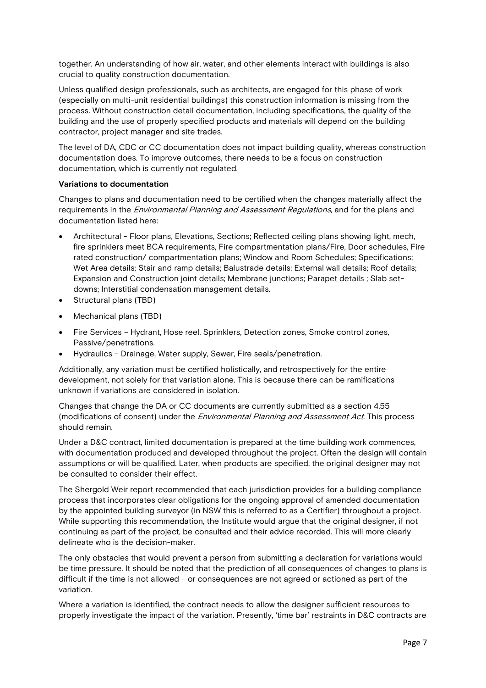together. An understanding of how air, water, and other elements interact with buildings is also crucial to quality construction documentation.

Unless qualified design professionals, such as architects, are engaged for this phase of work (especially on multi-unit residential buildings) this construction information is missing from the process. Without construction detail documentation, including specifications, the quality of the building and the use of properly specified products and materials will depend on the building contractor, project manager and site trades.

The level of DA, CDC or CC documentation does not impact building quality, whereas construction documentation does. To improve outcomes, there needs to be a focus on construction documentation, which is currently not regulated.

#### Variations to documentation

Changes to plans and documentation need to be certified when the changes materially affect the requirements in the *Environmental Planning and Assessment Regulations*, and for the plans and documentation listed here:

- Architectural Floor plans, Elevations, Sections; Reflected ceiling plans showing light, mech, fire sprinklers meet BCA requirements, Fire compartmentation plans/Fire, Door schedules, Fire rated construction/ compartmentation plans; Window and Room Schedules; Specifications; Wet Area details; Stair and ramp details; Balustrade details; External wall details; Roof details; Expansion and Construction joint details; Membrane junctions; Parapet details ; Slab setdowns; Interstitial condensation management details.
- Structural plans (TBD)
- Mechanical plans (TBD)
- Fire Services Hydrant, Hose reel, Sprinklers, Detection zones, Smoke control zones, Passive/penetrations.
- Hydraulics Drainage, Water supply, Sewer, Fire seals/penetration.

Additionally, any variation must be certified holistically, and retrospectively for the entire development, not solely for that variation alone. This is because there can be ramifications unknown if variations are considered in isolation.

Changes that change the DA or CC documents are currently submitted as a section 4.55 (modifications of consent) under the Environmental Planning and Assessment Act. This process should remain.

Under a D&C contract, limited documentation is prepared at the time building work commences, with documentation produced and developed throughout the project. Often the design will contain assumptions or will be qualified. Later, when products are specified, the original designer may not be consulted to consider their effect.

The Shergold Weir report recommended that each jurisdiction provides for a building compliance process that incorporates clear obligations for the ongoing approval of amended documentation by the appointed building surveyor (in NSW this is referred to as a Certifier) throughout a project. While supporting this recommendation, the Institute would argue that the original designer, if not continuing as part of the project, be consulted and their advice recorded. This will more clearly delineate who is the decision-maker.

The only obstacles that would prevent a person from submitting a declaration for variations would be time pressure. It should be noted that the prediction of all consequences of changes to plans is difficult if the time is not allowed – or consequences are not agreed or actioned as part of the variation.

Where a variation is identified, the contract needs to allow the designer sufficient resources to properly investigate the impact of the variation. Presently, 'time bar' restraints in D&C contracts are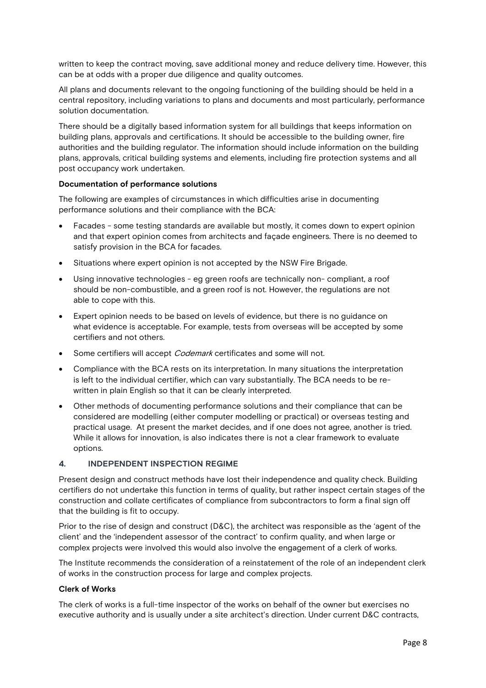written to keep the contract moving, save additional money and reduce delivery time. However, this can be at odds with a proper due diligence and quality outcomes.

All plans and documents relevant to the ongoing functioning of the building should be held in a central repository, including variations to plans and documents and most particularly, performance solution documentation.

There should be a digitally based information system for all buildings that keeps information on building plans, approvals and certifications. It should be accessible to the building owner, fire authorities and the building regulator. The information should include information on the building plans, approvals, critical building systems and elements, including fire protection systems and all post occupancy work undertaken.

#### Documentation of performance solutions

The following are examples of circumstances in which difficulties arise in documenting performance solutions and their compliance with the BCA:

- Facades some testing standards are available but mostly, it comes down to expert opinion and that expert opinion comes from architects and façade engineers. There is no deemed to satisfy provision in the BCA for facades.
- Situations where expert opinion is not accepted by the NSW Fire Brigade.
- Using innovative technologies eg green roofs are technically non- compliant, a roof should be non-combustible, and a green roof is not. However, the regulations are not able to cope with this.
- Expert opinion needs to be based on levels of evidence, but there is no guidance on what evidence is acceptable. For example, tests from overseas will be accepted by some certifiers and not others.
- Some certifiers will accept *Codemark* certificates and some will not.
- Compliance with the BCA rests on its interpretation. In many situations the interpretation is left to the individual certifier, which can vary substantially. The BCA needs to be rewritten in plain English so that it can be clearly interpreted.
- Other methods of documenting performance solutions and their compliance that can be considered are modelling (either computer modelling or practical) or overseas testing and practical usage. At present the market decides, and if one does not agree, another is tried. While it allows for innovation, is also indicates there is not a clear framework to evaluate options.

#### 4. INDEPENDENT INSPECTION REGIME

Present design and construct methods have lost their independence and quality check. Building certifiers do not undertake this function in terms of quality, but rather inspect certain stages of the construction and collate certificates of compliance from subcontractors to form a final sign off that the building is fit to occupy.

Prior to the rise of design and construct (D&C), the architect was responsible as the 'agent of the client' and the 'independent assessor of the contract' to confirm quality, and when large or complex projects were involved this would also involve the engagement of a clerk of works.

The Institute recommends the consideration of a reinstatement of the role of an independent clerk of works in the construction process for large and complex projects.

#### Clerk of Works

The clerk of works is a full-time inspector of the works on behalf of the owner but exercises no executive authority and is usually under a site architect's direction. Under current D&C contracts,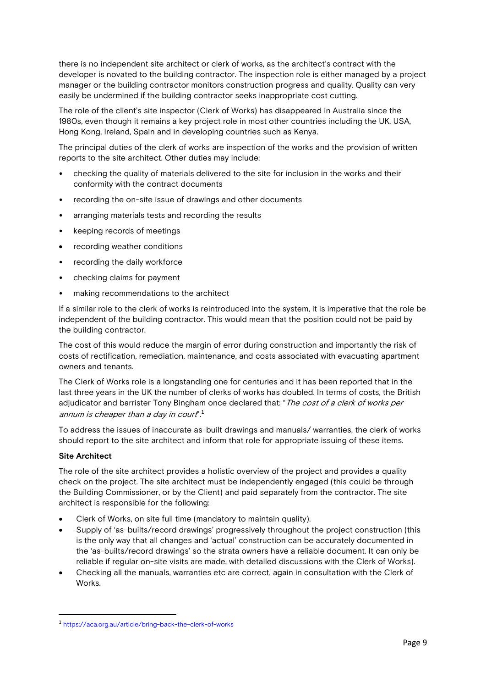there is no independent site architect or clerk of works, as the architect's contract with the developer is novated to the building contractor. The inspection role is either managed by a project manager or the building contractor monitors construction progress and quality. Quality can very easily be undermined if the building contractor seeks inappropriate cost cutting.

The role of the client's site inspector (Clerk of Works) has disappeared in Australia since the 1980s, even though it remains a key project role in most other countries including the UK, USA, Hong Kong, Ireland, Spain and in developing countries such as Kenya.

The principal duties of the clerk of works are inspection of the works and the provision of written reports to the site architect. Other duties may include:

- checking the quality of materials delivered to the site for inclusion in the works and their conformity with the contract documents
- recording the on-site issue of drawings and other documents
- arranging materials tests and recording the results
- keeping records of meetings
- recording weather conditions
- recording the daily workforce
- checking claims for payment
- making recommendations to the architect

If a similar role to the clerk of works is reintroduced into the system, it is imperative that the role be independent of the building contractor. This would mean that the position could not be paid by the building contractor.

The cost of this would reduce the margin of error during construction and importantly the risk of costs of rectification, remediation, maintenance, and costs associated with evacuating apartment owners and tenants.

The Clerk of Works role is a longstanding one for centuries and it has been reported that in the last three years in the UK the number of clerks of works has doubled. In terms of costs, the British adjudicator and barrister Tony Bingham once declared that: "The cost of a clerk of works per annum is cheaper than a day in court<sup>".1</sup>

To address the issues of inaccurate as-built drawings and manuals/ warranties, the clerk of works should report to the site architect and inform that role for appropriate issuing of these items.

## Site Architect

-

The role of the site architect provides a holistic overview of the project and provides a quality check on the project. The site architect must be independently engaged (this could be through the Building Commissioner, or by the Client) and paid separately from the contractor. The site architect is responsible for the following:

- Clerk of Works, on site full time (mandatory to maintain quality).
- Supply of 'as-builts/record drawings' progressively throughout the project construction (this is the only way that all changes and 'actual' construction can be accurately documented in the 'as-builts/record drawings' so the strata owners have a reliable document. It can only be reliable if regular on-site visits are made, with detailed discussions with the Clerk of Works).
- Checking all the manuals, warranties etc are correct, again in consultation with the Clerk of Works.

<sup>1</sup> https://aca.org.au/article/bring-back-the-clerk-of-works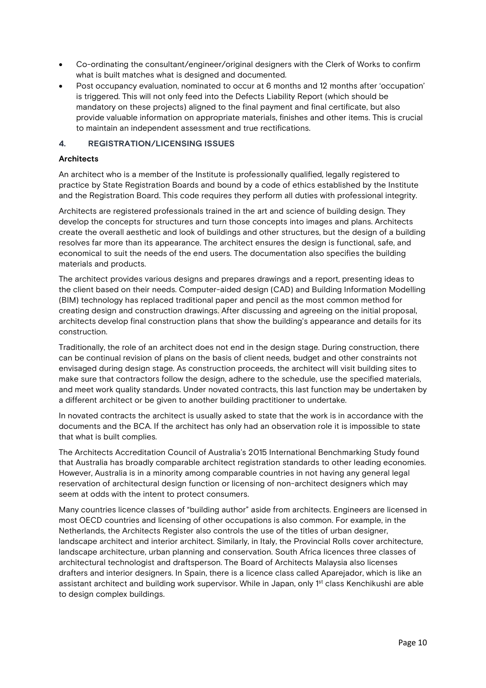- Co-ordinating the consultant/engineer/original designers with the Clerk of Works to confirm what is built matches what is designed and documented.
- Post occupancy evaluation, nominated to occur at 6 months and 12 months after 'occupation' is triggered. This will not only feed into the Defects Liability Report (which should be mandatory on these projects) aligned to the final payment and final certificate, but also provide valuable information on appropriate materials, finishes and other items. This is crucial to maintain an independent assessment and true rectifications.

## 4. REGISTRATION/LICENSING ISSUES

#### **Architects**

An architect who is a member of the Institute is professionally qualified, legally registered to practice by State Registration Boards and bound by a code of ethics established by the Institute and the Registration Board. This code requires they perform all duties with professional integrity.

Architects are registered professionals trained in the art and science of building design. They develop the concepts for structures and turn those concepts into images and plans. Architects create the overall aesthetic and look of buildings and other structures, but the design of a building resolves far more than its appearance. The architect ensures the design is functional, safe, and economical to suit the needs of the end users. The documentation also specifies the building materials and products.

The architect provides various designs and prepares drawings and a report, presenting ideas to the client based on their needs. Computer-aided design (CAD) and Building Information Modelling (BIM) technology has replaced traditional paper and pencil as the most common method for creating design and construction drawings. After discussing and agreeing on the initial proposal, architects develop final construction plans that show the building's appearance and details for its construction.

Traditionally, the role of an architect does not end in the design stage. During construction, there can be continual revision of plans on the basis of client needs, budget and other constraints not envisaged during design stage. As construction proceeds, the architect will visit building sites to make sure that contractors follow the design, adhere to the schedule, use the specified materials, and meet work quality standards. Under novated contracts, this last function may be undertaken by a different architect or be given to another building practitioner to undertake.

In novated contracts the architect is usually asked to state that the work is in accordance with the documents and the BCA. If the architect has only had an observation role it is impossible to state that what is built complies.

The Architects Accreditation Council of Australia's 2015 International Benchmarking Study found that Australia has broadly comparable architect registration standards to other leading economies. However, Australia is in a minority among comparable countries in not having any general legal reservation of architectural design function or licensing of non-architect designers which may seem at odds with the intent to protect consumers.

Many countries licence classes of "building author" aside from architects. Engineers are licensed in most OECD countries and licensing of other occupations is also common. For example, in the Netherlands, the Architects Register also controls the use of the titles of urban designer, landscape architect and interior architect. Similarly, in Italy, the Provincial Rolls cover architecture, landscape architecture, urban planning and conservation. South Africa licences three classes of architectural technologist and draftsperson. The Board of Architects Malaysia also licenses drafters and interior designers. In Spain, there is a licence class called Aparejador, which is like an assistant architect and building work supervisor. While in Japan, only 1<sup>st</sup> class Kenchikushi are able to design complex buildings.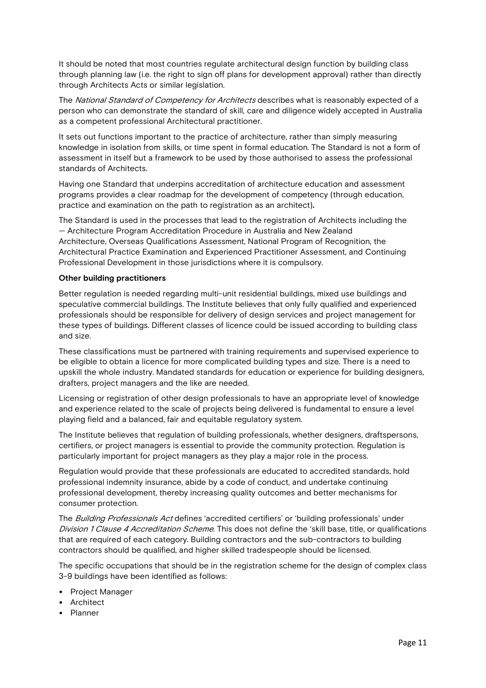It should be noted that most countries regulate architectural design function by building class through planning law (i.e. the right to sign off plans for development approval) rather than directly through Architects Acts or similar legislation.

The National Standard of Competency for Architects describes what is reasonably expected of a person who can demonstrate the standard of skill, care and diligence widely accepted in Australia as a competent professional Architectural practitioner.

It sets out functions important to the practice of architecture, rather than simply measuring knowledge in isolation from skills, or time spent in formal education. The Standard is not a form of assessment in itself but a framework to be used by those authorised to assess the professional standards of Architects.

Having one Standard that underpins accreditation of architecture education and assessment programs provides a clear roadmap for the development of competency (through education, practice and examination on the path to registration as an architect).

The Standard is used in the processes that lead to the registration of Architects including the — Architecture Program Accreditation Procedure in Australia and New Zealand Architecture, Overseas Qualifications Assessment, National Program of Recognition, the Architectural Practice Examination and Experienced Practitioner Assessment, and Continuing Professional Development in those jurisdictions where it is compulsory.

## Other building practitioners

Better regulation is needed regarding multi-unit residential buildings, mixed use buildings and speculative commercial buildings. The Institute believes that only fully qualified and experienced professionals should be responsible for delivery of design services and project management for these types of buildings. Different classes of licence could be issued according to building class and size.

These classifications must be partnered with training requirements and supervised experience to be eligible to obtain a licence for more complicated building types and size. There is a need to upskill the whole industry. Mandated standards for education or experience for building designers, drafters, project managers and the like are needed.

Licensing or registration of other design professionals to have an appropriate level of knowledge and experience related to the scale of projects being delivered is fundamental to ensure a level playing field and a balanced, fair and equitable regulatory system.

The Institute believes that regulation of building professionals, whether designers, draftspersons, certifiers, or project managers is essential to provide the community protection. Regulation is particularly important for project managers as they play a major role in the process.

Regulation would provide that these professionals are educated to accredited standards, hold professional indemnity insurance, abide by a code of conduct, and undertake continuing professional development, thereby increasing quality outcomes and better mechanisms for consumer protection.

The Building Professionals Act defines 'accredited certifiers' or 'building professionals' under Division 1 Clause 4 Accreditation Scheme. This does not define the 'skill base, title, or qualifications that are required of each category. Building contractors and the sub-contractors to building contractors should be qualified, and higher skilled tradespeople should be licensed.

The specific occupations that should be in the registration scheme for the design of complex class 3-9 buildings have been identified as follows:

- Project Manager
- Architect
- Planner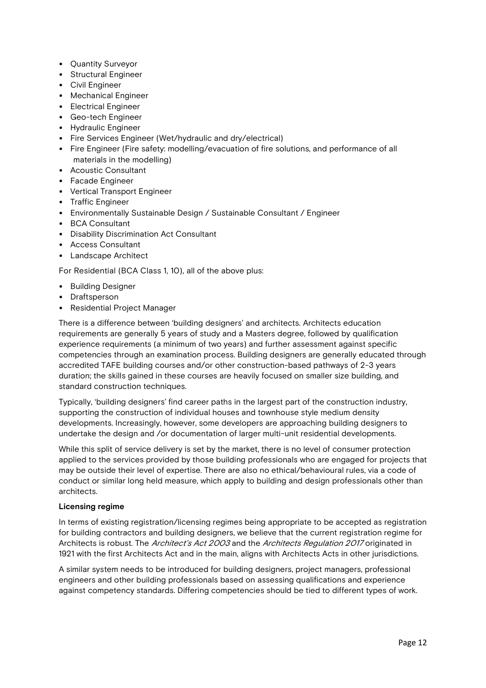- Quantity Surveyor
- Structural Engineer
- Civil Engineer
- Mechanical Engineer
- Electrical Engineer
- Geo-tech Engineer
- Hydraulic Engineer
- Fire Services Engineer (Wet/hydraulic and dry/electrical)
- Fire Engineer (Fire safety: modelling/evacuation of fire solutions, and performance of all materials in the modelling)
- Acoustic Consultant
- Facade Engineer
- Vertical Transport Engineer
- Traffic Engineer
- Environmentally Sustainable Design / Sustainable Consultant / Engineer
- BCA Consultant
- Disability Discrimination Act Consultant
- Access Consultant
- Landscape Architect

For Residential (BCA Class 1, 10), all of the above plus:

- Building Designer
- Draftsperson
- Residential Project Manager

There is a difference between 'building designers' and architects. Architects education requirements are generally 5 years of study and a Masters degree, followed by qualification experience requirements (a minimum of two years) and further assessment against specific competencies through an examination process. Building designers are generally educated through accredited TAFE building courses and/or other construction-based pathways of 2-3 years duration; the skills gained in these courses are heavily focused on smaller size building, and standard construction techniques.

Typically, 'building designers' find career paths in the largest part of the construction industry, supporting the construction of individual houses and townhouse style medium density developments. Increasingly, however, some developers are approaching building designers to undertake the design and /or documentation of larger multi-unit residential developments.

While this split of service delivery is set by the market, there is no level of consumer protection applied to the services provided by those building professionals who are engaged for projects that may be outside their level of expertise. There are also no ethical/behavioural rules, via a code of conduct or similar long held measure, which apply to building and design professionals other than architects.

## Licensing regime

In terms of existing registration/licensing regimes being appropriate to be accepted as registration for building contractors and building designers, we believe that the current registration regime for Architects is robust. The *Architect's Act 2003* and the *Architects Regulation 2017* originated in 1921 with the first Architects Act and in the main, aligns with Architects Acts in other jurisdictions.

A similar system needs to be introduced for building designers, project managers, professional engineers and other building professionals based on assessing qualifications and experience against competency standards. Differing competencies should be tied to different types of work.